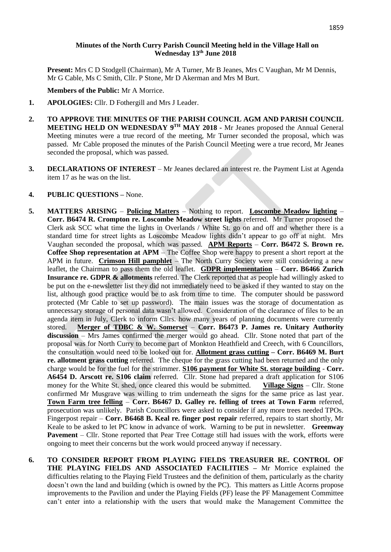# **Minutes of the North Curry Parish Council Meeting held in the Village Hall on Wednesday 13th June 2018**

**Present:** Mrs C D Stodgell (Chairman), Mr A Turner, Mr B Jeanes, Mrs C Vaughan, Mr M Dennis, Mr G Cable, Ms C Smith, Cllr. P Stone, Mr D Akerman and Mrs M Burt.

## **Members of the Public:** Mr A Morrice.

- **1. APOLOGIES:** Cllr. D Fothergill and Mrs J Leader.
- **2. TO APPROVE THE MINUTES OF THE PARISH COUNCIL AGM AND PARISH COUNCIL MEETING HELD ON WEDNESDAY 9 TH MAY 2018 -** Mr Jeanes proposed the Annual General Meeting minutes were a true record of the meeting, Mr Turner seconded the proposal, which was passed. Mr Cable proposed the minutes of the Parish Council Meeting were a true record, Mr Jeanes seconded the proposal, which was passed.
- **3. DECLARATIONS OF INTEREST**  Mr Jeanes declared an interest re. the Payment List at Agenda item 17 as he was on the list.

#### **4. PUBLIC QUESTIONS –** None.

- **5. MATTERS ARISING Policing Matters** Nothing to report. **Loscombe Meadow lighting Corr. B6474 R. Crompton re. Loscombe Meadow street lights** referred. Mr Turner proposed the Clerk ask SCC what time the lights in Overlands / White St. go on and off and whether there is a standard time for street lights as Loscombe Meadow lights didn't appear to go off at night. Mrs Vaughan seconded the proposal, which was passed. **APM Reports** – **Corr. B6472 S. Brown re. Coffee Shop representation at APM** – The Coffee Shop were happy to present a short report at the APM in future. **Crimson Hill pamphlet** – The North Curry Society were still considering a new leaflet, the Chairman to pass them the old leaflet. **GDPR implementation** – **Corr. B6466 Zurich Insurance re. GDPR & allotments** referred. The Clerk reported that as people had willingly asked to be put on the e-newsletter list they did not immediately need to be asked if they wanted to stay on the list, although good practice would be to ask from time to time. The computer should be password protected (Mr Cable to set up password). The main issues was the storage of documentation as unnecessary storage of personal data wasn't allowed. Consideration of the clearance of files to be an agenda item in July, Clerk to inform Cllrs. how many years of planning documents were currently stored. **Merger of TDBC & W. Somerset** – **Corr. B6473 P. James re. Unitary Authority discussion** – Mrs James confirmed the merger would go ahead. Cllr. Stone noted that part of the proposal was for North Curry to become part of Monkton Heathfield and Creech, with 6 Councillors, the consultation would need to be looked out for. **Allotment grass cutting – Corr. B6469 M. Burt re. allotment grass cutting** referred.The cheque for the grass cutting had been returned and the only charge would be for the fuel for the strimmer. **S106 payment for White St. storage building** - **Corr. A6454 D. Arscott re. S106 claim** referred. Cllr. Stone had prepared a draft application for S106 money for the White St. shed, once cleared this would be submitted. **Village Signs** – Cllr. Stone confirmed Mr Musgrave was willing to trim underneath the signs for the same price as last year. **Town Farm tree felling** – **Corr. B6467 D. Galley re. felling of trees at Town Farm** referred, prosecution was unlikely. Parish Councillors were asked to consider if any more trees needed TPOs. Fingerpost repair – **Corr. B6468 B. Keal re. finger post repair** referred, repairs to start shortly, Mr Keale to be asked to let PC know in advance of work. Warning to be put in newsletter. **Greenway Pavement** – Cllr. Stone reported that Pear Tree Cottage still had issues with the work, efforts were ongoing to meet their concerns but the work would proceed anyway if necessary.
- **6. TO CONSIDER REPORT FROM PLAYING FIELDS TREASURER RE. CONTROL OF THE PLAYING FIELDS AND ASSOCIATED FACILITIES –** Mr Morrice explained the difficulties relating to the Playing Field Trustees and the definition of them, particularly as the charity doesn't own the land and building (which is owned by the PC). This matters as Little Acorns propose improvements to the Pavilion and under the Playing Fields (PF) lease the PF Management Committee can't enter into a relationship with the users that would make the Management Committee the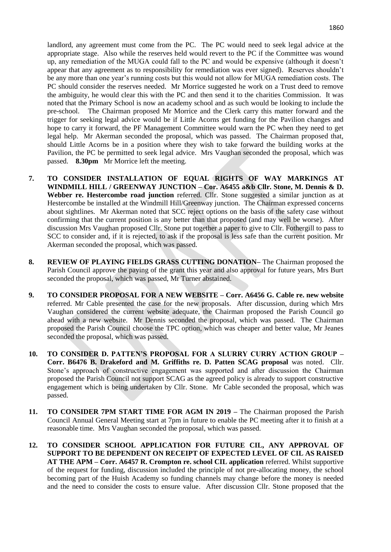landlord, any agreement must come from the PC. The PC would need to seek legal advice at the appropriate stage. Also while the reserves held would revert to the PC if the Committee was wound up, any remediation of the MUGA could fall to the PC and would be expensive (although it doesn't appear that any agreement as to responsibility for remediation was ever signed). Reserves shouldn't be any more than one year's running costs but this would not allow for MUGA remediation costs. The PC should consider the reserves needed. Mr Morrice suggested he work on a Trust deed to remove the ambiguity, he would clear this with the PC and then send it to the charities Commission. It was noted that the Primary School is now an academy school and as such would be looking to include the pre-school. The Chairman proposed Mr Morrice and the Clerk carry this matter forward and the trigger for seeking legal advice would be if Little Acorns get funding for the Pavilion changes and hope to carry it forward, the PF Management Committee would warn the PC when they need to get legal help. Mr Akerman seconded the proposal, which was passed. The Chairman proposed that, should Little Acorns be in a position where they wish to take forward the building works at the Pavilion, the PC be permitted to seek legal advice. Mrs Vaughan seconded the proposal, which was passed. **8.30pm** Mr Morrice left the meeting.

- **7. TO CONSIDER INSTALLATION OF EQUAL RIGHTS OF WAY MARKINGS AT WINDMILL HILL / GREENWAY JUNCTION – Cor. A6455 a&b Cllr. Stone, M. Dennis & D. Webber re. Hestercombe road junction** referred. Cllr. Stone suggested a similar junction as at Hestercombe be installed at the Windmill Hill/Greenway junction. The Chairman expressed concerns about sightlines. Mr Akerman noted that SCC reject options on the basis of the safety case without confirming that the current position is any better than that proposed (and may well be worse). After discussion Mrs Vaughan proposed Cllr. Stone put together a paper to give to Cllr. Fothergill to pass to SCC to consider and, if it is rejected, to ask if the proposal is less safe than the current position. Mr Akerman seconded the proposal, which was passed.
- **8. REVIEW OF PLAYING FIELDS GRASS CUTTING DONATION–** The Chairman proposed the Parish Council approve the paying of the grant this year and also approval for future years, Mrs Burt seconded the proposal, which was passed, Mr Turner abstained.
- **9. TO CONSIDER PROPOSAL FOR A NEW WEBSITE – Corr. A6456 G. Cable re. new website**  referred. Mr Cable presented the case for the new proposals. After discussion, during which Mrs Vaughan considered the current website adequate, the Chairman proposed the Parish Council go ahead with a new website. Mr Dennis seconded the proposal, which was passed. The Chairman proposed the Parish Council choose the TPC option, which was cheaper and better value, Mr Jeanes seconded the proposal, which was passed.
- **10. TO CONSIDER D. PATTEN'S PROPOSAL FOR A SLURRY CURRY ACTION GROUP – Corr. B6476 B. Drakeford and M. Griffiths re. D. Patten SCAG proposal** was noted. Cllr. Stone's approach of constructive engagement was supported and after discussion the Chairman proposed the Parish Council not support SCAG as the agreed policy is already to support constructive engagement which is being undertaken by Cllr. Stone. Mr Cable seconded the proposal, which was passed.
- **11. TO CONSIDER 7PM START TIME FOR AGM IN 2019 –** The Chairman proposed the Parish Council Annual General Meeting start at 7pm in future to enable the PC meeting after it to finish at a reasonable time. Mrs Vaughan seconded the proposal, which was passed.
- **12. TO CONSIDER SCHOOL APPLICATION FOR FUTURE CIL, ANY APPROVAL OF SUPPORT TO BE DEPENDENT ON RECEIPT OF EXPECTED LEVEL OF CIL AS RAISED AT THE APM – Corr. A6457 R. Crompton re. school CIL application** referred. Whilst supportive of the request for funding, discussion included the principle of not pre-allocating money, the school becoming part of the Huish Academy so funding channels may change before the money is needed and the need to consider the costs to ensure value. After discussion Cllr. Stone proposed that the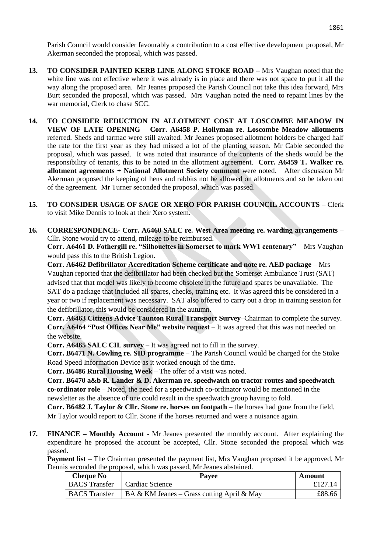Parish Council would consider favourably a contribution to a cost effective development proposal, Mr Akerman seconded the proposal, which was passed.

- **13. TO CONSIDER PAINTED KERB LINE ALONG STOKE ROAD –** Mrs Vaughan noted that the white line was not effective where it was already is in place and there was not space to put it all the way along the proposed area. Mr Jeanes proposed the Parish Council not take this idea forward, Mrs Burt seconded the proposal, which was passed. Mrs Vaughan noted the need to repaint lines by the war memorial, Clerk to chase SCC.
- **14. TO CONSIDER REDUCTION IN ALLOTMENT COST AT LOSCOMBE MEADOW IN VIEW OF LATE OPENING – Corr. A6458 P. Hollyman re. Loscombe Meadow allotments**  referred. Sheds and tarmac were still awaited. Mr Jeanes proposed allotment holders be charged half the rate for the first year as they had missed a lot of the planting season. Mr Cable seconded the proposal, which was passed. It was noted that insurance of the contents of the sheds would be the responsibility of tenants, this to be noted in the allotment agreement. **Corr. A6459 T. Walker re. allotment agreements + National Allotment Society comment** were noted. After discussion Mr Akerman proposed the keeping of hens and rabbits not be allowed on allotments and so be taken out of the agreement. Mr Turner seconded the proposal, which was passed.
- **15. TO CONSIDER USAGE OF SAGE OR XERO FOR PARISH COUNCIL ACCOUNTS –** Clerk to visit Mike Dennis to look at their Xero system.
- **16. CORRESPONDENCE- Corr. A6460 SALC re. West Area meeting re. warding arrangements –** Cllr**.** Stone would try to attend, mileage to be reimbursed.

**Corr. A6461 D. Fothergill re. "Silhouettes in Somerset to mark WW1 centenary"** – Mrs Vaughan would pass this to the British Legion.

**Corr. A6462 Defibrillator Accreditation Scheme certificate and note re. AED package** – Mrs Vaughan reported that the defibrillator had been checked but the Somerset Ambulance Trust (SAT) advised that that model was likely to become obsolete in the future and spares be unavailable. The SAT do a package that included all spares, checks, training etc. It was agreed this be considered in a year or two if replacement was necessary. SAT also offered to carry out a drop in training session for the defibrillator, this would be considered in the autumn.

**Corr. A6463 Citizens Advice Taunton Rural Transport Survey**–Chairman to complete the survey. **Corr. A6464 "Post Offices Near Me" website request** – It was agreed that this was not needed on the website.

**Corr. A6465 SALC CIL survey** – It was agreed not to fill in the survey.

**Corr. B6471 N. Cowling re. SID programme** – The Parish Council would be charged for the Stoke Road Speed Information Device as it worked enough of the time.

**Corr. B6486 Rural Housing Week** – The offer of a visit was noted.

**Corr. B6470 a&b R. Lander & D. Akerman re. speedwatch on tractor routes and speedwatch co-ordinator role** – Noted, the need for a speedwatch co-ordinator would be mentioned in the newsletter as the absence of one could result in the speedwatch group having to fold.

**Corr. B6482 J. Taylor & Cllr. Stone re. horses on footpath** – the horses had gone from the field, Mr Taylor would report to Cllr. Stone if the horses returned and were a nuisance again.

**17. FINANCE – Monthly Account** - Mr Jeanes presented the monthly account. After explaining the expenditure he proposed the account be accepted, Cllr. Stone seconded the proposal which was passed.

**Payment list** – The Chairman presented the payment list, Mrs Vaughan proposed it be approved, Mr Dennis seconded the proposal, which was passed, Mr Jeanes abstained.

| <b>Cheque No</b>     | <b>Pavee</b>                                       | Amount  |
|----------------------|----------------------------------------------------|---------|
| <b>BACS</b> Transfer | Cardiac Science                                    | £127.14 |
| <b>BACS</b> Transfer | $\vert$ BA & KM Jeanes – Grass cutting April & May | £88.66  |